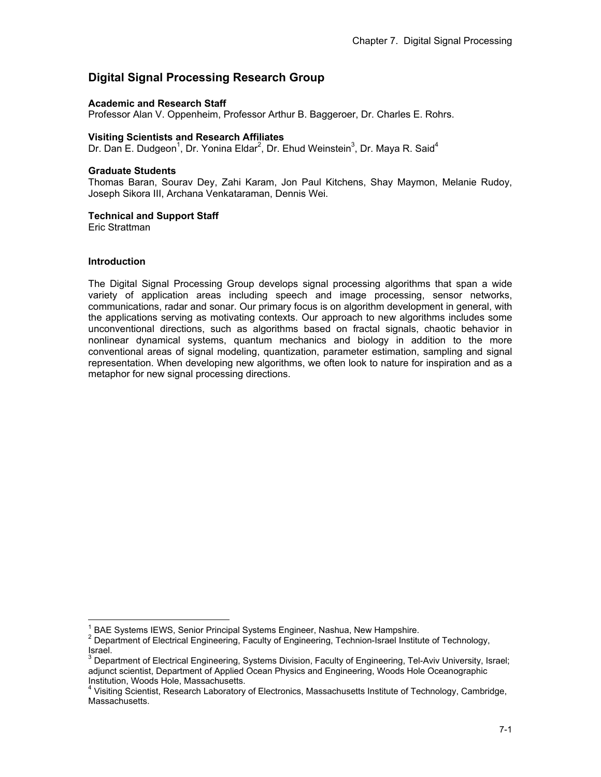# **Digital Signal Processing Research Group**

### **Academic and Research Staff**

Professor Alan V. Oppenheim, Professor Arthur B. Baggeroer, Dr. Charles E. Rohrs.

### **Visiting Scientists and Research Affiliates**

Dr. Dan E. Dudgeon<sup>1</sup>, Dr. Yonina Eldar<sup>2</sup>, Dr. Ehud Weinstein<sup>3</sup>, Dr. Maya R. Said<sup>4</sup>

### **Graduate Students**

Thomas Baran, Sourav Dey, Zahi Karam, Jon Paul Kitchens, Shay Maymon, Melanie Rudoy, Joseph Sikora III, Archana Venkataraman, Dennis Wei.

### **Technical and Support Staff**

Eric Strattman

### **Introduction**

 $\overline{1}$ 

The Digital Signal Processing Group develops signal processing algorithms that span a wide variety of application areas including speech and image processing, sensor networks, communications, radar and sonar. Our primary focus is on algorithm development in general, with the applications serving as motivating contexts. Our approach to new algorithms includes some unconventional directions, such as algorithms based on fractal signals, chaotic behavior in nonlinear dynamical systems, quantum mechanics and biology in addition to the more conventional areas of signal modeling, quantization, parameter estimation, sampling and signal representation. When developing new algorithms, we often look to nature for inspiration and as a metaphor for new signal processing directions.

<sup>&</sup>lt;sup>1</sup> BAE Systems IEWS, Senior Principal Systems Engineer, Nashua, New Hampshire.<br><sup>2</sup> Department of Electrical Engineering, Engylty of Engineering, Technical Institute

<sup>2</sup> Department of Electrical Engineering, Faculty of Engineering, Technion-Israel Institute of Technology, Israel.

 $^3$  Department of Electrical Engineering, Systems Division, Faculty of Engineering, Tel-Aviv University, Israel; adjunct scientist, Department of Applied Ocean Physics and Engineering, Woods Hole Oceanographic Institution, Woods Hole, Massachusetts.

<sup>&</sup>lt;sup>4</sup> Visiting Scientist, Research Laboratory of Electronics, Massachusetts Institute of Technology, Cambridge, Massachusetts.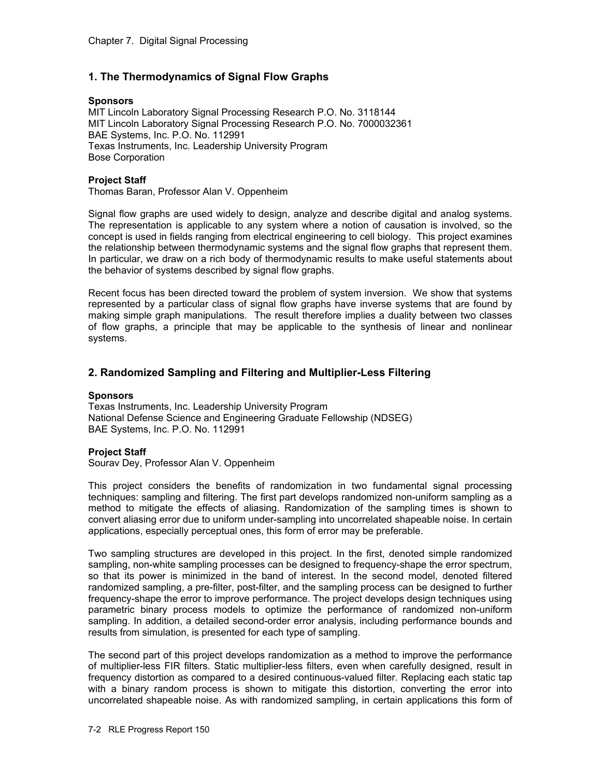# **1. The Thermodynamics of Signal Flow Graphs**

#### **Sponsors**

MIT Lincoln Laboratory Signal Processing Research P.O. No. 3118144 MIT Lincoln Laboratory Signal Processing Research P.O. No. 7000032361 BAE Systems, Inc. P.O. No. 112991 Texas Instruments, Inc. Leadership University Program Bose Corporation

### **Project Staff**

Thomas Baran, Professor Alan V. Oppenheim

Signal flow graphs are used widely to design, analyze and describe digital and analog systems. The representation is applicable to any system where a notion of causation is involved, so the concept is used in fields ranging from electrical engineering to cell biology. This project examines the relationship between thermodynamic systems and the signal flow graphs that represent them. In particular, we draw on a rich body of thermodynamic results to make useful statements about the behavior of systems described by signal flow graphs.

Recent focus has been directed toward the problem of system inversion. We show that systems represented by a particular class of signal flow graphs have inverse systems that are found by making simple graph manipulations. The result therefore implies a duality between two classes of flow graphs, a principle that may be applicable to the synthesis of linear and nonlinear systems.

# **2. Randomized Sampling and Filtering and Multiplier-Less Filtering**

### **Sponsors**

Texas Instruments, Inc. Leadership University Program National Defense Science and Engineering Graduate Fellowship (NDSEG) BAE Systems, Inc. P.O. No. 112991

### **Project Staff**

Sourav Dey, Professor Alan V. Oppenheim

This project considers the benefits of randomization in two fundamental signal processing techniques: sampling and filtering. The first part develops randomized non-uniform sampling as a method to mitigate the effects of aliasing. Randomization of the sampling times is shown to convert aliasing error due to uniform under-sampling into uncorrelated shapeable noise. In certain applications, especially perceptual ones, this form of error may be preferable.

Two sampling structures are developed in this project. In the first, denoted simple randomized sampling, non-white sampling processes can be designed to frequency-shape the error spectrum, so that its power is minimized in the band of interest. In the second model, denoted filtered randomized sampling, a pre-filter, post-filter, and the sampling process can be designed to further frequency-shape the error to improve performance. The project develops design techniques using parametric binary process models to optimize the performance of randomized non-uniform sampling. In addition, a detailed second-order error analysis, including performance bounds and results from simulation, is presented for each type of sampling.

The second part of this project develops randomization as a method to improve the performance of multiplier-less FIR filters. Static multiplier-less filters, even when carefully designed, result in frequency distortion as compared to a desired continuous-valued filter. Replacing each static tap with a binary random process is shown to mitigate this distortion, converting the error into uncorrelated shapeable noise. As with randomized sampling, in certain applications this form of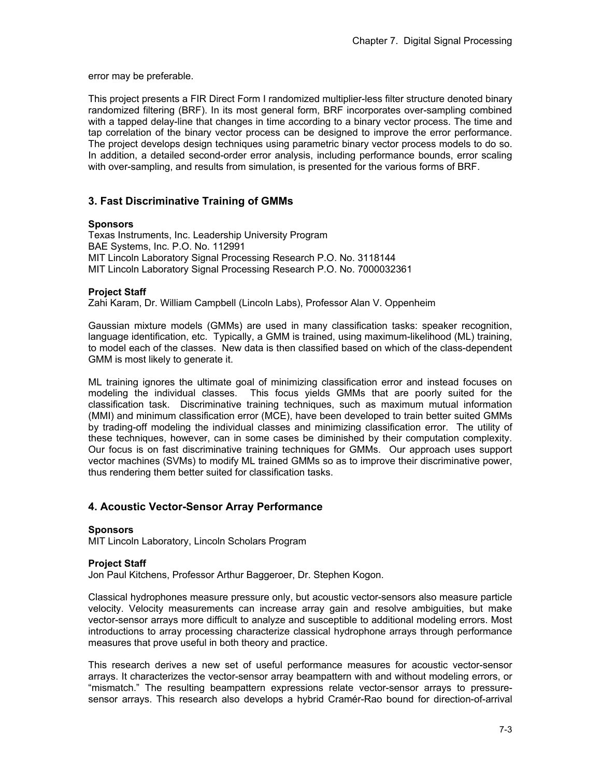error may be preferable.

This project presents a FIR Direct Form I randomized multiplier-less filter structure denoted binary randomized filtering (BRF). In its most general form, BRF incorporates over-sampling combined with a tapped delay-line that changes in time according to a binary vector process. The time and tap correlation of the binary vector process can be designed to improve the error performance. The project develops design techniques using parametric binary vector process models to do so. In addition, a detailed second-order error analysis, including performance bounds, error scaling with over-sampling, and results from simulation, is presented for the various forms of BRF.

# **3. Fast Discriminative Training of GMMs**

### **Sponsors**

Texas Instruments, Inc. Leadership University Program BAE Systems, Inc. P.O. No. 112991 MIT Lincoln Laboratory Signal Processing Research P.O. No. 3118144 MIT Lincoln Laboratory Signal Processing Research P.O. No. 7000032361

### **Project Staff**

Zahi Karam, Dr. William Campbell (Lincoln Labs), Professor Alan V. Oppenheim

Gaussian mixture models (GMMs) are used in many classification tasks: speaker recognition, language identification, etc. Typically, a GMM is trained, using maximum-likelihood (ML) training. to model each of the classes. New data is then classified based on which of the class-dependent GMM is most likely to generate it.

ML training ignores the ultimate goal of minimizing classification error and instead focuses on modeling the individual classes. This focus yields GMMs that are poorly suited for the classification task. Discriminative training techniques, such as maximum mutual information (MMI) and minimum classification error (MCE), have been developed to train better suited GMMs by trading-off modeling the individual classes and minimizing classification error. The utility of these techniques, however, can in some cases be diminished by their computation complexity. Our focus is on fast discriminative training techniques for GMMs. Our approach uses support vector machines (SVMs) to modify ML trained GMMs so as to improve their discriminative power, thus rendering them better suited for classification tasks.

# **4. Acoustic Vector-Sensor Array Performance**

### **Sponsors**

MIT Lincoln Laboratory, Lincoln Scholars Program

### **Project Staff**

Jon Paul Kitchens, Professor Arthur Baggeroer, Dr. Stephen Kogon.

Classical hydrophones measure pressure only, but acoustic vector-sensors also measure particle velocity. Velocity measurements can increase array gain and resolve ambiguities, but make vector-sensor arrays more difficult to analyze and susceptible to additional modeling errors. Most introductions to array processing characterize classical hydrophone arrays through performance measures that prove useful in both theory and practice.

This research derives a new set of useful performance measures for acoustic vector-sensor arrays. It characterizes the vector-sensor array beampattern with and without modeling errors, or "mismatch." The resulting beampattern expressions relate vector-sensor arrays to pressuresensor arrays. This research also develops a hybrid Cramér-Rao bound for direction-of-arrival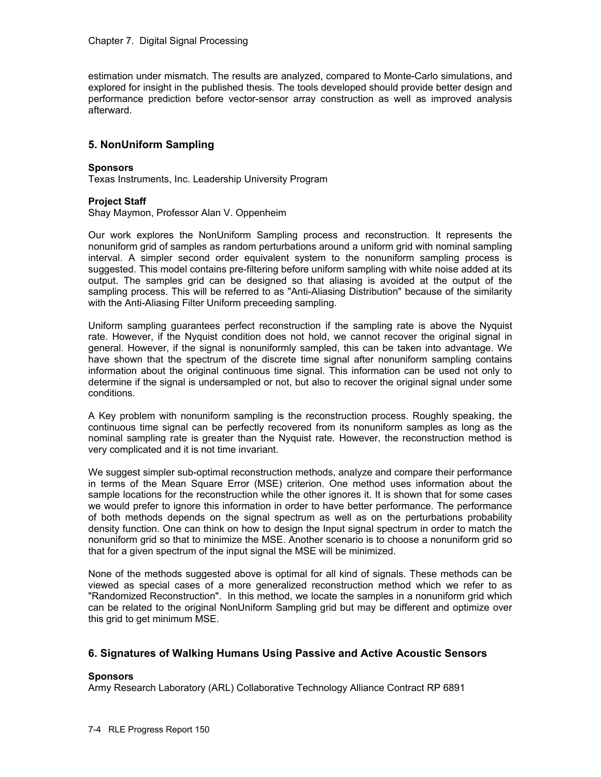estimation under mismatch. The results are analyzed, compared to Monte-Carlo simulations, and explored for insight in the published thesis. The tools developed should provide better design and performance prediction before vector-sensor array construction as well as improved analysis afterward.

# **5. NonUniform Sampling**

### **Sponsors**

Texas Instruments, Inc. Leadership University Program

### **Project Staff**

Shay Maymon, Professor Alan V. Oppenheim

Our work explores the NonUniform Sampling process and reconstruction. It represents the nonuniform grid of samples as random perturbations around a uniform grid with nominal sampling interval. A simpler second order equivalent system to the nonuniform sampling process is suggested. This model contains pre-filtering before uniform sampling with white noise added at its output. The samples grid can be designed so that aliasing is avoided at the output of the sampling process. This will be referred to as "Anti-Aliasing Distribution" because of the similarity with the Anti-Aliasing Filter Uniform preceeding sampling.

Uniform sampling guarantees perfect reconstruction if the sampling rate is above the Nyquist rate. However, if the Nyquist condition does not hold, we cannot recover the original signal in general. However, if the signal is nonuniformly sampled, this can be taken into advantage. We have shown that the spectrum of the discrete time signal after nonuniform sampling contains information about the original continuous time signal. This information can be used not only to determine if the signal is undersampled or not, but also to recover the original signal under some conditions.

A Key problem with nonuniform sampling is the reconstruction process. Roughly speaking, the continuous time signal can be perfectly recovered from its nonuniform samples as long as the nominal sampling rate is greater than the Nyquist rate. However, the reconstruction method is very complicated and it is not time invariant.

We suggest simpler sub-optimal reconstruction methods, analyze and compare their performance in terms of the Mean Square Error (MSE) criterion. One method uses information about the sample locations for the reconstruction while the other ignores it. It is shown that for some cases we would prefer to ignore this information in order to have better performance. The performance of both methods depends on the signal spectrum as well as on the perturbations probability density function. One can think on how to design the Input signal spectrum in order to match the nonuniform grid so that to minimize the MSE. Another scenario is to choose a nonuniform grid so that for a given spectrum of the input signal the MSE will be minimized.

None of the methods suggested above is optimal for all kind of signals. These methods can be viewed as special cases of a more generalized reconstruction method which we refer to as "Randomized Reconstruction". In this method, we locate the samples in a nonuniform grid which can be related to the original NonUniform Sampling grid but may be different and optimize over this grid to get minimum MSE.

# **6. Signatures of Walking Humans Using Passive and Active Acoustic Sensors**

### **Sponsors**

Army Research Laboratory (ARL) Collaborative Technology Alliance Contract RP 6891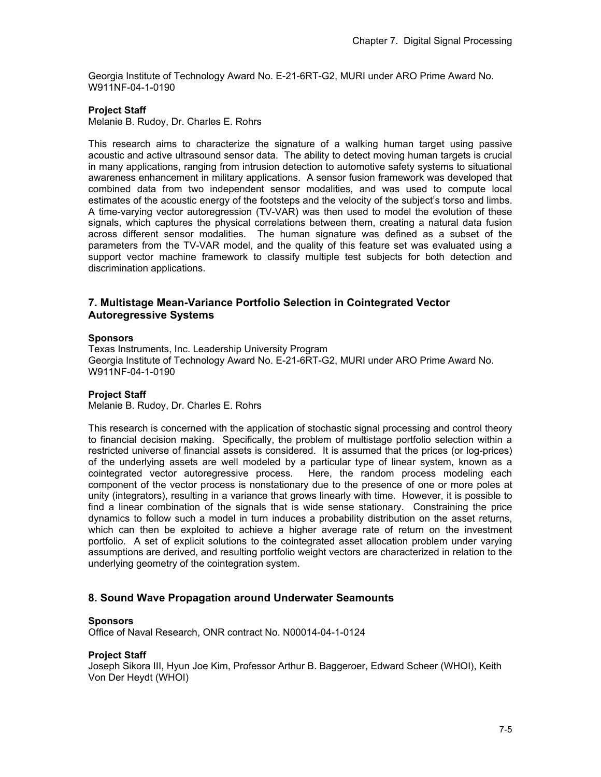Georgia Institute of Technology Award No. E-21-6RT-G2, MURI under ARO Prime Award No. W911NF-04-1-0190

### **Project Staff**

Melanie B. Rudoy, Dr. Charles E. Rohrs

This research aims to characterize the signature of a walking human target using passive acoustic and active ultrasound sensor data. The ability to detect moving human targets is crucial in many applications, ranging from intrusion detection to automotive safety systems to situational awareness enhancement in military applications. A sensor fusion framework was developed that combined data from two independent sensor modalities, and was used to compute local estimates of the acoustic energy of the footsteps and the velocity of the subject's torso and limbs. A time-varying vector autoregression (TV-VAR) was then used to model the evolution of these signals, which captures the physical correlations between them, creating a natural data fusion across different sensor modalities. The human signature was defined as a subset of the parameters from the TV-VAR model, and the quality of this feature set was evaluated using a support vector machine framework to classify multiple test subjects for both detection and discrimination applications.

# **7. Multistage Mean-Variance Portfolio Selection in Cointegrated Vector Autoregressive Systems**

#### **Sponsors**

Texas Instruments, Inc. Leadership University Program Georgia Institute of Technology Award No. E-21-6RT-G2, MURI under ARO Prime Award No. W911NF-04-1-0190

### **Project Staff**

Melanie B. Rudoy, Dr. Charles E. Rohrs

This research is concerned with the application of stochastic signal processing and control theory to financial decision making. Specifically, the problem of multistage portfolio selection within a restricted universe of financial assets is considered. It is assumed that the prices (or log-prices) of the underlying assets are well modeled by a particular type of linear system, known as a cointegrated vector autoregressive process. Here, the random process modeling each component of the vector process is nonstationary due to the presence of one or more poles at unity (integrators), resulting in a variance that grows linearly with time. However, it is possible to find a linear combination of the signals that is wide sense stationary. Constraining the price dynamics to follow such a model in turn induces a probability distribution on the asset returns, which can then be exploited to achieve a higher average rate of return on the investment portfolio. A set of explicit solutions to the cointegrated asset allocation problem under varying assumptions are derived, and resulting portfolio weight vectors are characterized in relation to the underlying geometry of the cointegration system.

### **8. Sound Wave Propagation around Underwater Seamounts**

#### **Sponsors**

Office of Naval Research, ONR contract No. N00014-04-1-0124

### **Project Staff**

Joseph Sikora III, Hyun Joe Kim, Professor Arthur B. Baggeroer, Edward Scheer (WHOI), Keith Von Der Heydt (WHOI)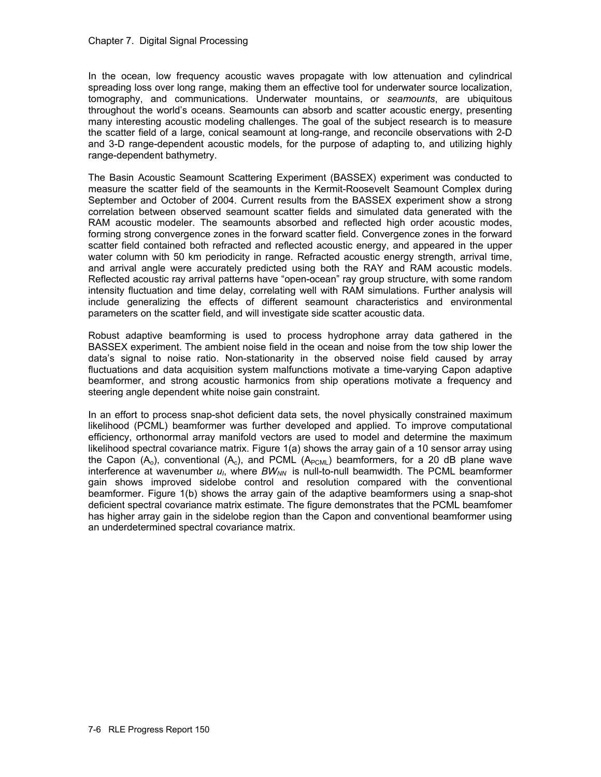In the ocean, low frequency acoustic waves propagate with low attenuation and cylindrical spreading loss over long range, making them an effective tool for underwater source localization, tomography, and communications. Underwater mountains, or *seamounts*, are ubiquitous throughout the world's oceans. Seamounts can absorb and scatter acoustic energy, presenting many interesting acoustic modeling challenges. The goal of the subject research is to measure the scatter field of a large, conical seamount at long-range, and reconcile observations with 2-D and 3-D range-dependent acoustic models, for the purpose of adapting to, and utilizing highly range-dependent bathymetry.

The Basin Acoustic Seamount Scattering Experiment (BASSEX) experiment was conducted to measure the scatter field of the seamounts in the Kermit-Roosevelt Seamount Complex during September and October of 2004. Current results from the BASSEX experiment show a strong correlation between observed seamount scatter fields and simulated data generated with the RAM acoustic modeler. The seamounts absorbed and reflected high order acoustic modes, forming strong convergence zones in the forward scatter field. Convergence zones in the forward scatter field contained both refracted and reflected acoustic energy, and appeared in the upper water column with 50 km periodicity in range. Refracted acoustic energy strength, arrival time, and arrival angle were accurately predicted using both the RAY and RAM acoustic models. Reflected acoustic ray arrival patterns have "open-ocean" ray group structure, with some random intensity fluctuation and time delay, correlating well with RAM simulations. Further analysis will include generalizing the effects of different seamount characteristics and environmental parameters on the scatter field, and will investigate side scatter acoustic data.

Robust adaptive beamforming is used to process hydrophone array data gathered in the BASSEX experiment. The ambient noise field in the ocean and noise from the tow ship lower the data's signal to noise ratio. Non-stationarity in the observed noise field caused by array fluctuations and data acquisition system malfunctions motivate a time-varying Capon adaptive beamformer, and strong acoustic harmonics from ship operations motivate a frequency and steering angle dependent white noise gain constraint.

In an effort to process snap-shot deficient data sets, the novel physically constrained maximum likelihood (PCML) beamformer was further developed and applied. To improve computational efficiency, orthonormal array manifold vectors are used to model and determine the maximum likelihood spectral covariance matrix. Figure 1(a) shows the array gain of a 10 sensor array using the Capon  $(A_0)$ , conventional  $(A_0)$ , and PCML  $(A_{\text{PCML}})$  beamformers, for a 20 dB plane wave interference at wavenumber  $u_i$ , where  $BW_{NN}$  is null-to-null beamwidth. The PCML beamformer gain shows improved sidelobe control and resolution compared with the conventional beamformer. Figure 1(b) shows the array gain of the adaptive beamformers using a snap-shot deficient spectral covariance matrix estimate. The figure demonstrates that the PCML beamfomer has higher array gain in the sidelobe region than the Capon and conventional beamformer using an underdetermined spectral covariance matrix.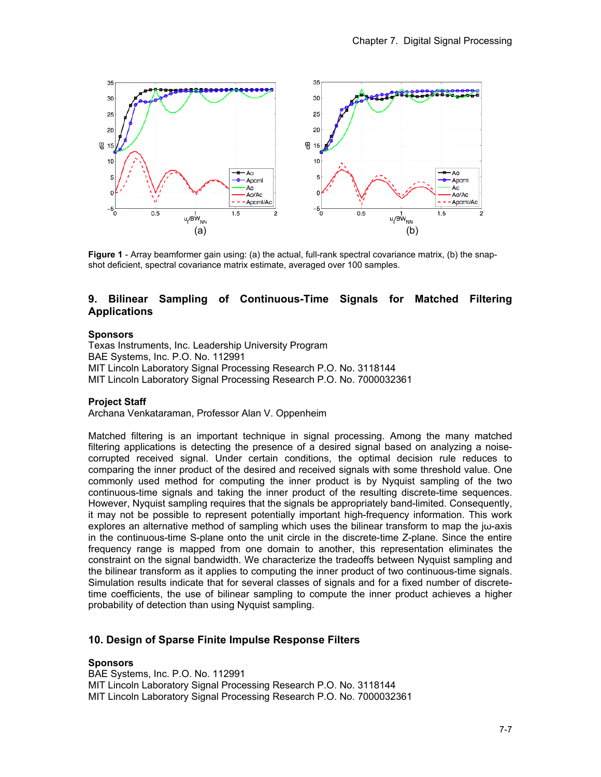

**Figure 1** - Array beamformer gain using: (a) the actual, full-rank spectral covariance matrix, (b) the snapshot deficient, spectral covariance matrix estimate, averaged over 100 samples.

# **9. Bilinear Sampling of Continuous-Time Signals for Matched Filtering Applications**

### **Sponsors**

Texas Instruments, Inc. Leadership University Program BAE Systems, Inc. P.O. No. 112991 MIT Lincoln Laboratory Signal Processing Research P.O. No. 3118144 MIT Lincoln Laboratory Signal Processing Research P.O. No. 7000032361

### **Project Staff**

Archana Venkataraman, Professor Alan V. Oppenheim

Matched filtering is an important technique in signal processing. Among the many matched filtering applications is detecting the presence of a desired signal based on analyzing a noisecorrupted received signal. Under certain conditions, the optimal decision rule reduces to comparing the inner product of the desired and received signals with some threshold value. One commonly used method for computing the inner product is by Nyquist sampling of the two continuous-time signals and taking the inner product of the resulting discrete-time sequences. However, Nyquist sampling requires that the signals be appropriately band-limited. Consequently, it may not be possible to represent potentially important high-frequency information. This work explores an alternative method of sampling which uses the bilinear transform to map the  $j\omega$ -axis in the continuous-time S-plane onto the unit circle in the discrete-time Z-plane. Since the entire frequency range is mapped from one domain to another, this representation eliminates the constraint on the signal bandwidth. We characterize the tradeoffs between Nyquist sampling and the bilinear transform as it applies to computing the inner product of two continuous-time signals. Simulation results indicate that for several classes of signals and for a fixed number of discretetime coefficients, the use of bilinear sampling to compute the inner product achieves a higher probability of detection than using Nyquist sampling.

# **10. Design of Sparse Finite Impulse Response Filters**

### **Sponsors**

BAE Systems, Inc. P.O. No. 112991 MIT Lincoln Laboratory Signal Processing Research P.O. No. 3118144 MIT Lincoln Laboratory Signal Processing Research P.O. No. 7000032361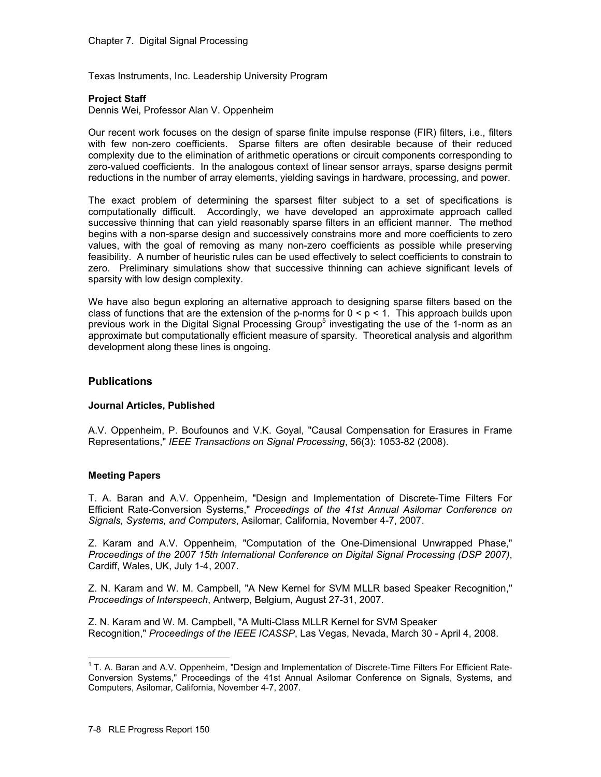Texas Instruments, Inc. Leadership University Program

### **Project Staff**

Dennis Wei, Professor Alan V. Oppenheim

Our recent work focuses on the design of sparse finite impulse response (FIR) filters, i.e., filters with few non-zero coefficients. Sparse filters are often desirable because of their reduced complexity due to the elimination of arithmetic operations or circuit components corresponding to zero-valued coefficients. In the analogous context of linear sensor arrays, sparse designs permit reductions in the number of array elements, yielding savings in hardware, processing, and power.

The exact problem of determining the sparsest filter subject to a set of specifications is computationally difficult. Accordingly, we have developed an approximate approach called successive thinning that can yield reasonably sparse filters in an efficient manner. The method begins with a non-sparse design and successively constrains more and more coefficients to zero values, with the goal of removing as many non-zero coefficients as possible while preserving feasibility. A number of heuristic rules can be used effectively to select coefficients to constrain to zero. Preliminary simulations show that successive thinning can achieve significant levels of sparsity with low design complexity.

We have also begun exploring an alternative approach to designing sparse filters based on the class of functions that are the extension of the p-norms for  $0 < p < 1$ . This approach builds upon previous work in the Digital Signal Processing Group<sup>5</sup> investigating the use of the 1-norm as an approximate but computationally efficient measure of sparsity. Theoretical analysis and algorithm development along these lines is ongoing.

# **Publications**

# **Journal Articles, Published**

A.V. Oppenheim, P. Boufounos and V.K. Goyal, "Causal Compensation for Erasures in Frame Representations," *IEEE Transactions on Signal Processing*, 56(3): 1053-82 (2008).

# **Meeting Papers**

T. A. Baran and A.V. Oppenheim, "Design and Implementation of Discrete-Time Filters For Efficient Rate-Conversion Systems," *Proceedings of the 41st Annual Asilomar Conference on Signals, Systems, and Computers*, Asilomar, California, November 4-7, 2007.

Z. Karam and A.V. Oppenheim, "Computation of the One-Dimensional Unwrapped Phase," *Proceedings of the 2007 15th International Conference on Digital Signal Processing (DSP 2007)*, Cardiff, Wales, UK, July 1-4, 2007.

Z. N. Karam and W. M. Campbell, "A New Kernel for SVM MLLR based Speaker Recognition," *Proceedings of Interspeech*, Antwerp, Belgium, August 27-31, 2007.

Z. N. Karam and W. M. Campbell, "A Multi-Class MLLR Kernel for SVM Speaker Recognition," *Proceedings of the IEEE ICASSP*, Las Vegas, Nevada, March 30 - April 4, 2008.

 $\overline{a}$  $1$  T. A. Baran and A.V. Oppenheim, "Design and Implementation of Discrete-Time Filters For Efficient Rate-Conversion Systems," Proceedings of the 41st Annual Asilomar Conference on Signals, Systems, and Computers, Asilomar, California, November 4-7, 2007.